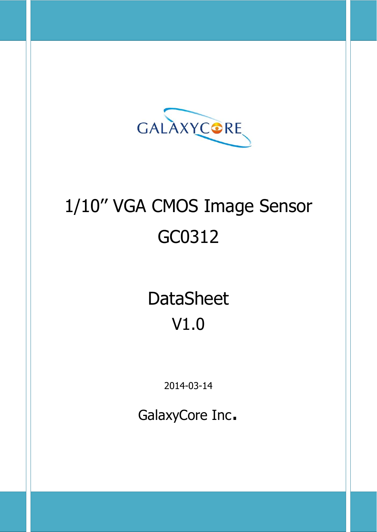

# 1/10'' VGA CMOS Image Sensor GC0312

**DataSheet** V1.0

2014-03-14

GalaxyCore Inc.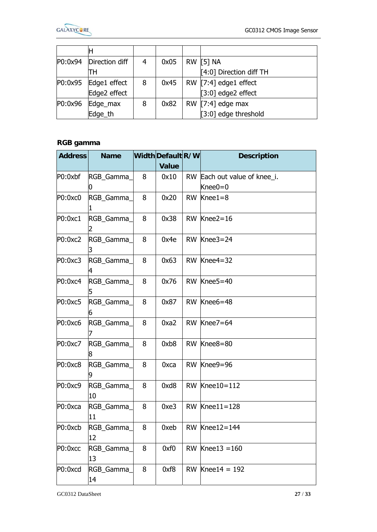

|         | P0:0x94 Direction diff | 4 | 0x05 | RW [5] NA               |
|---------|------------------------|---|------|-------------------------|
|         | тн                     |   |      | [4:0] Direction diff TH |
| P0:0x95 | Edge1 effect           | 8 | 0x45 | RW [7:4] edge1 effect   |
|         | Edge2 effect           |   |      | $[3:0]$ edge2 effect    |
| P0:0x96 | Edge_max               | 8 | 0x82 | RW $[7:4]$ edge max     |
|         | Edge th                |   |      | [3:0] edge threshold    |

## **RGB gamma**

| <b>Address</b> | <b>Name</b>      |   | Width Default R/W | <b>Description</b>                         |
|----------------|------------------|---|-------------------|--------------------------------------------|
|                |                  |   | <b>Value</b>      |                                            |
| P0:0xbf        | RGB_Gamma_       | 8 | 0x10              | RW Each out value of knee_i.<br>Knee $0=0$ |
| P0:0xc0        | RGB_Gamma_       | 8 | 0x20              | RW Knee1=8                                 |
| P0:0xc1        | RGB_Gamma_       | 8 | 0x38              | RW Knee2=16                                |
| P0:0xc2        | RGB_Gamma_       | 8 | 0x4e              | RW Knee3=24                                |
| P0:0xc3        | RGB_Gamma_       | 8 | 0x63              | RW $ Knee4=32$                             |
| P0:0xc4        | RGB_Gamma_       | 8 | 0x76              | RW Knee5=40                                |
| P0:0xc5        | RGB_Gamma_       | 8 | 0x87              | RW Knee6=48                                |
| P0:0xc6        | RGB_Gamma_       | 8 | 0xa2              | RW Knee7=64                                |
| P0:0xc7        | RGB_Gamma_<br>8  | 8 | 0xb8              | RW Knee8=80                                |
| P0:0xc8        | RGB_Gamma_       | 8 | 0xca              | RW Knee9=96                                |
| P0:0xc9        | RGB_Gamma_<br>10 | 8 | 0xd8              | RW $Knee10=112$                            |
| P0:0xca        | RGB_Gamma_<br>11 | 8 | 0xe3              | RW Knee11=128                              |
| P0:0xcb        | RGB_Gamma_<br>12 | 8 | 0xeb              | RW $Knee12=144$                            |
| P0:0xcc        | RGB Gamma<br>13  | 8 | 0xf0              | RW $Knee13 = 160$                          |
| P0:0xcd        | RGB_Gamma_<br>14 | 8 | 0xf8              | RW $Knee14 = 192$                          |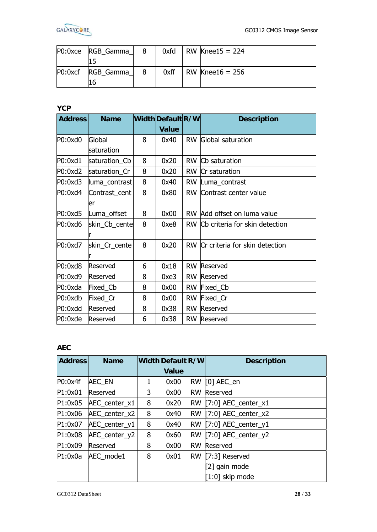

| PO:0xce | RGB_Gamma_       | 8 | 0xfd | RW $Knee15 = 224$ |  |
|---------|------------------|---|------|-------------------|--|
|         |                  |   |      |                   |  |
| PO:0xcf | <b>RGB Gamma</b> |   | 0xff | RW Knee16 = $256$ |  |
|         |                  |   |      |                   |  |

|                | ΤO            |   |                   |           |                                |  |
|----------------|---------------|---|-------------------|-----------|--------------------------------|--|
| <b>YCP</b>     |               |   |                   |           |                                |  |
| <b>Address</b> | <b>Name</b>   |   | Width Default R/W |           | <b>Description</b>             |  |
|                |               |   | <b>Value</b>      |           |                                |  |
| P0:0xd0        | Global        | 8 | 0x40              |           | <b>RW</b> Global saturation    |  |
|                | saturation    |   |                   |           |                                |  |
| P0:0xd1        | saturation Cb | 8 | 0x20              | <b>RW</b> | Cb saturation                  |  |
| P0:0xd2        | saturation Cr | 8 | 0x20              | <b>RW</b> | Cr saturation                  |  |
| P0:0xd3        | luma_contrast | 8 | 0x40              | <b>RW</b> | Luma_contrast                  |  |
| P0:0xd4        | Contrast_cent | 8 | 0x80              | <b>RW</b> | Contrast center value          |  |
|                | er            |   |                   |           |                                |  |
| P0:0xd5        | Luma offset   | 8 | 0x00              | <b>RW</b> | Add offset on luma value       |  |
| P0:0xd6        | skin_Cb_cente | 8 | 0xe8              | RW.       | Cb criteria for skin detection |  |
|                |               |   |                   |           |                                |  |
| P0:0xd7        | skin_Cr_cente | 8 | 0x20              | <b>RW</b> | Cr criteria for skin detection |  |
|                |               |   |                   |           |                                |  |
| P0:0xd8        | Reserved      | 6 | 0x18              | <b>RW</b> | Reserved                       |  |
| P0:0xd9        | Reserved      | 8 | 0xe3              | <b>RW</b> | Reserved                       |  |
| P0:0xda        | Fixed_Cb      | 8 | 0x00              | <b>RW</b> | Fixed_Cb                       |  |
| P0:0xdb        | Fixed_Cr      | 8 | 0x00              | <b>RW</b> | Fixed_Cr                       |  |
| P0:0xdd        | Reserved      | 8 | 0x38              | <b>RW</b> | Reserved                       |  |
| P0:0xde        | Reserved      | 6 | 0x38              | <b>RW</b> | Reserved                       |  |

#### **AEC**

| <b>Address</b> | <b>Name</b>   |   | Width Default R/W |           | <b>Description</b>               |
|----------------|---------------|---|-------------------|-----------|----------------------------------|
|                |               |   | <b>Value</b>      |           |                                  |
| P0:0x4f        | <b>AEC EN</b> |   | 0x00              | <b>RW</b> | $[0]$ AEC_en                     |
| P1:0x01        | Reserved      | 3 | 0x00              | <b>RW</b> | Reserved                         |
| P1:0x05        | AEC center x1 | 8 | 0x20              | <b>RW</b> | $[7:0]$ AEC_center_x1            |
| P1:0x06        | AEC center x2 | 8 | 0x40              | <b>RW</b> | $[7:0]$ AEC_center_x2            |
| P1:0x07        | AEC center y1 | 8 | 0x40              | <b>RW</b> | $[7:0]$ AEC center y1            |
| P1:0x08        | AEC center y2 | 8 | 0x60              | <b>RW</b> | $\left[7:0\right]$ AEC_center_y2 |
| P1:0x09        | Reserved      | 8 | 0x00              | <b>RW</b> | Reserved                         |
| P1:0x0a        | AEC_mode1     | 8 | 0x01              | <b>RW</b> | $[7:3]$ Reserved                 |
|                |               |   |                   |           | [2] gain mode                    |
|                |               |   |                   |           | $[1:0]$ skip mode                |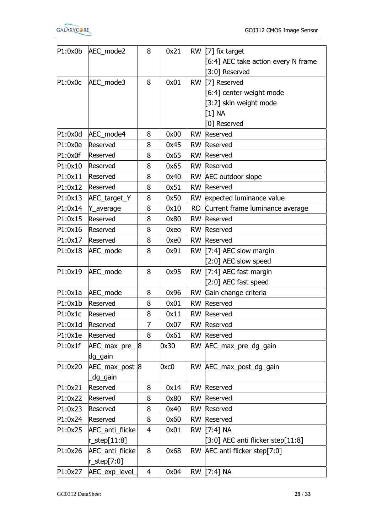

E

| P1:0x0b | AEC_mode2          | 8              | 0x21 | <b>RW</b> | $[7]$ fix target                    |
|---------|--------------------|----------------|------|-----------|-------------------------------------|
|         |                    |                |      |           | [6:4] AEC take action every N frame |
|         |                    |                |      |           | [3:0] Reserved                      |
| P1:0x0c | AEC_mode3          | 8              | 0x01 | <b>RW</b> | [7] Reserved                        |
|         |                    |                |      |           | [6:4] center weight mode            |
|         |                    |                |      |           | [3:2] skin weight mode              |
|         |                    |                |      |           | $11$ NA                             |
|         |                    |                |      |           | [0] Reserved                        |
| P1:0x0d | AEC_mode4          | 8              | 0x00 | <b>RW</b> | <b>Reserved</b>                     |
| P1:0x0e | Reserved           | 8              | 0x45 |           | <b>RW</b> Reserved                  |
| P1:0x0f | Reserved           | 8              | 0x65 | <b>RW</b> | Reserved                            |
| P1:0x10 | Reserved           | $\overline{8}$ | 0x65 | <b>RW</b> | Reserved                            |
| P1:0x11 | Reserved           | 8              | 0x40 | <b>RW</b> | AEC outdoor slope                   |
| P1:0x12 | <b>Reserved</b>    | 8              | 0x51 | <b>RW</b> | Reserved                            |
| P1:0x13 | AEC_target_Y       | 8              | 0x50 | <b>RW</b> | expected luminance value            |
| P1:0x14 | Y_average          | 8              | 0x10 | <b>RO</b> | Current frame luminance average     |
| P1:0x15 | Reserved           | 8              | 0x80 | <b>RW</b> | Reserved                            |
| P1:0x16 | Reserved           | 8              | 0xeo | <b>RW</b> | Reserved                            |
| P1:0x17 | Reserved           | 8              | 0xe0 | <b>RW</b> | Reserved                            |
| P1:0x18 | AEC_mode           | 8              | 0x91 | <b>RW</b> | $[7:4]$ AEC slow margin             |
|         |                    |                |      |           | [2:0] AEC slow speed                |
| P1:0x19 | AEC_mode           | 8              | 0x95 | <b>RW</b> | [7:4] AEC fast margin               |
|         |                    |                |      |           | [2:0] AEC fast speed                |
| P1:0x1a | AEC_mode           | 8              | 0x96 | <b>RW</b> | Gain change criteria                |
| P1:0x1b | Reserved           | 8              | 0x01 | <b>RW</b> | Reserved                            |
| P1:0x1c | Reserved           | 8              | 0x11 | <b>RW</b> | Reserved                            |
| P1:0x1d | Reserved           | 7              | 0x07 |           | <b>RW</b> Reserved                  |
| P1:0x1e | Reserved           | 8              | 0x61 |           | <b>RW</b> Reserved                  |
| P1:0x1f | AEC_max_pre_8      |                | 0x30 |           | RW AEC_max_pre_dg_gain              |
|         | dg_gain            |                |      |           |                                     |
| P1:0x20 | AEC_max_post 8     |                | 0xc0 |           | RW AEC_max_post_dg_gain             |
|         | dg_gain            |                |      |           |                                     |
| P1:0x21 | Reserved           | $\overline{8}$ | 0x14 | <b>RW</b> | Reserved                            |
| P1:0x22 | <b>Reserved</b>    | 8              | 0x80 | <b>RW</b> | Reserved                            |
| P1:0x23 | Reserved           | 8              | 0x40 | <b>RW</b> | Reserved                            |
| P1:0x24 | Reserved           | 8              | 0x60 | <b>RW</b> | Reserved                            |
| P1:0x25 | AEC_anti_flicke    | 4              | 0x01 | <b>RW</b> | $[7:4]$ NA                          |
|         | $r$ _step $[11:8]$ |                |      |           | [3:0] AEC anti flicker step[11:8]   |
| P1:0x26 | AEC_anti_flicke    | 8              | 0x68 |           | RW AEC anti flicker step[7:0]       |
|         | $r$ _step[7:0]     |                |      |           |                                     |
| P1:0x27 | AEC_exp_level_     | 4              | 0x04 |           | RW [7:4] NA                         |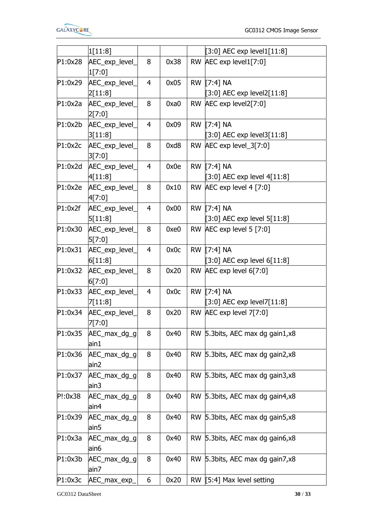

|         | 1[11:8]                  |                         |      |           | [3:0] AEC exp level1 $[11:8]$    |  |
|---------|--------------------------|-------------------------|------|-----------|----------------------------------|--|
| P1:0x28 | AEC_exp_level_           | 8                       | 0x38 |           | RW AEC exp level1[7:0]           |  |
|         | 1[7:0]                   |                         |      |           |                                  |  |
| P1:0x29 | AEC_exp_level_           | 4                       | 0x05 |           | RW [7:4] NA                      |  |
|         | 2[11:8]                  |                         |      |           | $[3:0]$ AEC exp level2 $[11:8]$  |  |
| P1:0x2a | AEC_exp_level_           | 8                       | 0xa0 |           | RW AEC exp level2[7:0]           |  |
|         | 2[7:0]                   |                         |      |           |                                  |  |
| P1:0x2b | AEC_exp_level_           | $\overline{4}$          | 0x09 |           | RW [7:4] NA                      |  |
|         | 3[11:8]                  |                         |      |           | $[3:0]$ AEC exp level3 $[11:8]$  |  |
| P1:0x2c | AEC_exp_level_           | 8 <sub>o</sub>          | 0xd8 |           | RW AEC exp level_3[7:0]          |  |
|         | 3[7:0]                   |                         |      |           |                                  |  |
| P1:0x2d | AEC_exp_level_           | $\overline{\mathbf{4}}$ | 0x0e |           | RW [7:4] NA                      |  |
|         | 4[11:8]                  |                         |      |           | [3:0] AEC exp level $4[11:8]$    |  |
| P1:0x2e | AEC_exp_level_           | 8                       | 0x10 |           | RW AEC exp level 4 [7:0]         |  |
|         | 4[7:0]                   |                         |      |           |                                  |  |
| P1:0x2f | AEC_exp_level_           | $\overline{4}$          | 0x00 |           | RW [7:4] NA                      |  |
|         | 5[11:8]                  |                         |      |           | $[3:0]$ AEC exp level $5[11:8]$  |  |
| P1:0x30 | AEC_exp_level_           | 8                       | 0xe0 |           | RW AEC exp level 5 [7:0]         |  |
|         | 5[7:0]                   |                         |      |           |                                  |  |
| P1:0x31 |                          | 4                       | 0x0c |           | RW [7:4] NA                      |  |
|         | AEC_exp_level_           |                         |      |           |                                  |  |
|         | 6[11:8]                  |                         | 0x20 |           | $[3:0]$ AEC exp level 6 $[11:8]$ |  |
| P1:0x32 | AEC_exp_level_<br>6[7:0] | 8                       |      |           | RW AEC exp level 6[7:0]          |  |
| P1:0x33 | AEC_exp_level_           | $\overline{4}$          | 0x0c |           | RW [7:4] NA                      |  |
|         | 7[11:8]                  |                         |      |           | $[3:0]$ AEC exp level7 $[11:8]$  |  |
| P1:0x34 | AEC_exp_level_           | 8                       | 0x20 |           | RW AEC exp level 7[7:0]          |  |
|         | 7[7:0]                   |                         |      |           |                                  |  |
| P1:0x35 | AEC_max_dg_g             | 8                       | 0x40 |           | RW 5.3bits, AEC max dg gain1,x8  |  |
|         | ain1                     |                         |      |           |                                  |  |
| P1:0x36 | AEC_max_dg_g             | 8                       | 0x40 |           | RW 5.3bits, AEC max dg gain2,x8  |  |
|         | ain2                     |                         |      |           |                                  |  |
| P1:0x37 | AEC_max_dg_g             | $\overline{8}$          | 0x40 |           | RW 5.3bits, AEC max dg gain3,x8  |  |
|         | $\sin 3$                 |                         |      |           |                                  |  |
| P!:0x38 | AEC_max_dg_g             | 8                       | 0x40 |           | RW 5.3bits, AEC max dg gain4,x8  |  |
|         | ain4                     |                         |      |           |                                  |  |
| P1:0x39 |                          | 8                       | 0x40 |           | RW 5.3bits, AEC max dg gain5,x8  |  |
|         | AEC_max_dg_g<br>ain5     |                         |      |           |                                  |  |
|         |                          |                         |      |           |                                  |  |
| P1:0x3a | AEC_max_dg_g             | 8                       | 0x40 | <b>RW</b> | 5.3bits, AEC max dg gain6,x8     |  |
|         | ain6                     |                         |      |           |                                  |  |
| P1:0x3b | AEC_max_dg_g             | 8                       | 0x40 |           | RW 5.3bits, AEC max dg gain7,x8  |  |
|         | ain7                     |                         |      |           |                                  |  |
| P1:0x3c | AEC_max_exp_             | 6                       | 0x20 |           | RW [5:4] Max level setting       |  |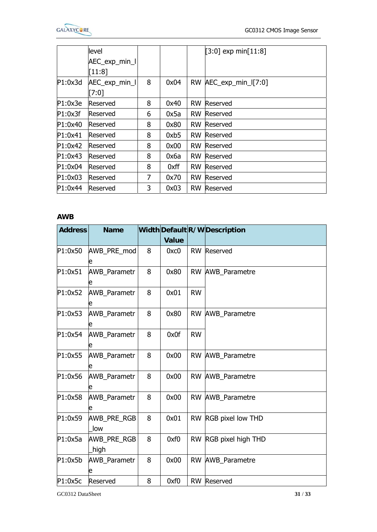|         | level           |   |      |           | $[3:0]$ exp min $[11:8]$ |  |
|---------|-----------------|---|------|-----------|--------------------------|--|
|         | AEC_exp_min_l   |   |      |           |                          |  |
|         | [11:8]          |   |      |           |                          |  |
| P1:0x3d | AEC_exp_min_l   | 8 | 0x04 | <b>RW</b> | $AEC$ exp_min_l[7:0]     |  |
|         | [7:0]           |   |      |           |                          |  |
| P1:0x3e | Reserved        | 8 | 0x40 | <b>RW</b> | Reserved                 |  |
| P1:0x3f | Reserved        | 6 | 0x5a | <b>RW</b> | Reserved                 |  |
| P1:0x40 | Reserved        | 8 | 0x80 |           | <b>RW</b> Reserved       |  |
| P1:0x41 | Reserved        | 8 | 0xb5 | <b>RW</b> | <b>Reserved</b>          |  |
| P1:0x42 | Reserved        | 8 | 0x00 | <b>RW</b> | Reserved                 |  |
| P1:0x43 | Reserved        | 8 | 0x6a | <b>RW</b> | Reserved                 |  |
| P1:0x04 | Reserved        | 8 | 0xff | <b>RW</b> | Reserved                 |  |
| P1:0x03 | <b>Reserved</b> | 7 | 0x70 | <b>RW</b> | Reserved                 |  |
| P1:0x44 | Reserved        | 3 | 0x03 | <b>RW</b> | Reserved                 |  |
|         |                 |   |      |           |                          |  |

## **AWB**

| <b>Address</b> | <b>Name</b>              |                |                   |           | Width Default R/W Description |  |
|----------------|--------------------------|----------------|-------------------|-----------|-------------------------------|--|
|                |                          |                | <b>Value</b>      |           |                               |  |
| P1:0x50        | AWB PRE mod              | 8              | 0x <sub>C</sub> 0 |           | RW Reserved                   |  |
| P1:0x51        | <b>AWB Parametr</b>      | 8              | 0x80              |           | RW AWB_Parametre              |  |
| P1:0x52        | <b>AWB_Parametr</b><br>e | 8              | 0x01              | <b>RW</b> |                               |  |
| P1:0x53        | <b>AWB Parametr</b><br>e | 8              | 0x80              |           | RW AWB_Parametre              |  |
| P1:0x54        | AWB_Parametr             | 8              | 0x0f              | <b>RW</b> |                               |  |
| P1:0x55        | AWB_Parametr             | 8              | 0x00              |           | RW AWB Parametre              |  |
| P1:0x56        | AWB_Parametr             | $\overline{8}$ | 0x00              |           | RW AWB_Parametre              |  |
| P1:0x58        | <b>AWB</b> Parametr      | 8              | 0x00              |           | <b>RW AWB Parametre</b>       |  |
| P1:0x59        | AWB_PRE_RGB<br>low       | 8              | 0x01              |           | RW RGB pixel low THD          |  |
| P1:0x5a        | AWB PRE RGB<br>high      | 8              | 0xf0              |           | RW RGB pixel high THD         |  |
| P1:0x5b        | AWB_Parametr             | 8              | 0x00              |           | RW AWB_Parametre              |  |
| P1:0x5c        | Reserved                 | 8              | 0xf0              |           | RW Reserved                   |  |

GC0312 DataSheet **31** / **33**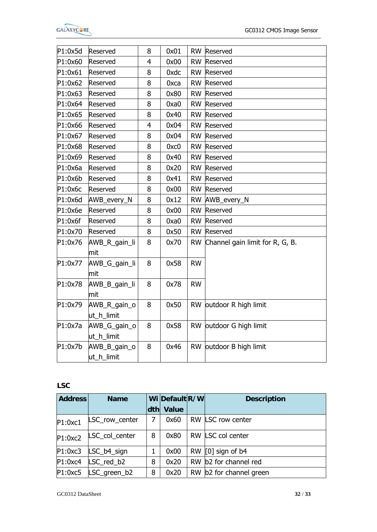

| P1:0x5d | Reserved                   | 8              | 0x01              |           | RW Reserved                     |  |
|---------|----------------------------|----------------|-------------------|-----------|---------------------------------|--|
| P1:0x60 | Reserved                   | $\overline{4}$ | 0x00              | <b>RW</b> | Reserved                        |  |
| P1:0x61 | Reserved                   | 8              | 0xdc              | <b>RW</b> | Reserved                        |  |
| P1:0x62 | Reserved                   | 8              | 0xca              | <b>RW</b> | Reserved                        |  |
| P1:0x63 | Reserved                   | 8              | 0x80              | <b>RW</b> | Reserved                        |  |
| P1:0x64 | Reserved                   | 8              | 0xa0              | <b>RW</b> | Reserved                        |  |
| P1:0x65 | Reserved                   | 8              | 0x40              | <b>RW</b> | Reserved                        |  |
| P1:0x66 | Reserved                   | $\overline{4}$ | 0x04              |           | <b>RW</b> Reserved              |  |
| P1:0x67 | Reserved                   | 8              | 0x04              | <b>RW</b> | <b>Reserved</b>                 |  |
| P1:0x68 | Reserved                   | 8              | 0x <sub>C</sub> 0 | <b>RW</b> | Reserved                        |  |
| P1:0x69 | Reserved                   | 8              | 0x40              | <b>RW</b> | Reserved                        |  |
| P1:0x6a | Reserved                   | $\overline{8}$ | 0x20              | <b>RW</b> | Reserved                        |  |
| P1:0x6b | Reserved                   | 8              | 0x41              | <b>RW</b> | Reserved                        |  |
| P1:0x6c | Reserved                   | 8              | 0x00              | <b>RW</b> | Reserved                        |  |
| P1:0x6d | AWB_every_N                | 8              | 0x12              | <b>RW</b> | AWB_every_N                     |  |
| P1:0x6e | Reserved                   | 8              | 0x00              | <b>RW</b> | Reserved                        |  |
| P1:0x6f | Reserved                   | 8              | 0xa0              | <b>RW</b> | Reserved                        |  |
| P1:0x70 | Reserved                   | 8              | 0x50              | <b>RW</b> | Reserved                        |  |
| P1:0x76 | AWB_R_gain_li<br>lmit      | 8              | 0x70              | <b>RW</b> | Channel gain limit for R, G, B. |  |
| P1:0x77 | AWB_G_gain_li<br>mit       | 8              | 0x58              | <b>RW</b> |                                 |  |
| P1:0x78 | AWB_B_gain_li<br>mit       | 8              | 0x78              | <b>RW</b> |                                 |  |
| P1:0x79 | AWB_R_gain_o<br>ut_h_limit | 8              | 0x50              | <b>RW</b> | outdoor R high limit            |  |
| P1:0x7a | AWB_G_gain_o<br>ut_h_limit | 8              | 0x58              | <b>RW</b> | outdoor G high limit            |  |
| P1:0x7b | AWB_B_gain_o<br>ut_h_limit | 8              | 0x46              |           | RW outdoor B high limit         |  |

**LSC** 

| <b>Address</b> | <b>Name</b>            |   | Wi Default R/W | <b>Description</b>      |
|----------------|------------------------|---|----------------|-------------------------|
|                |                        |   | dth Value      |                         |
| P1:0xC1        | LSC_row_center         | 7 | 0x60           | RW LSC row center       |
| P1:0xc2        | LSC_col_center         | 8 | 0x80           | RW LSC col center       |
| P1:0xc3        | LSC b4 sign            |   | 0x00           | RW $[0]$ sign of b4     |
| P1:0xc4        | LSC_red_b2             | 8 | 0x20           | RW b2 for channel red   |
|                | $P1:0xC5$ LSC_green_b2 | 8 | 0x20           | RW b2 for channel green |